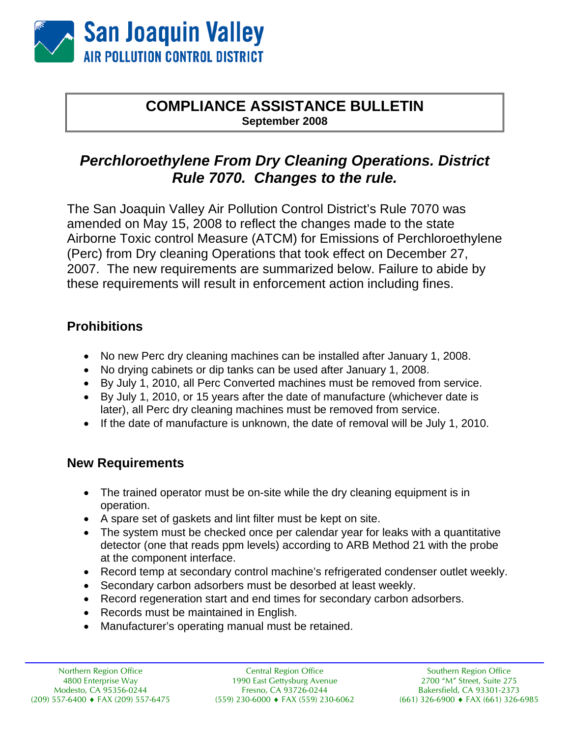

#### **COMPLIANCE ASSISTANCE BULLETIN September 2008**

# *Perchloroethylene From Dry Cleaning Operations. District Rule 7070. Changes to the rule.*

The San Joaquin Valley Air Pollution Control District's Rule 7070 was amended on May 15, 2008 to reflect the changes made to the state Airborne Toxic control Measure (ATCM) for Emissions of Perchloroethylene (Perc) from Dry cleaning Operations that took effect on December 27, 2007. The new requirements are summarized below. Failure to abide by these requirements will result in enforcement action including fines.

## **Prohibitions**

- No new Perc dry cleaning machines can be installed after January 1, 2008.
- No drying cabinets or dip tanks can be used after January 1, 2008.
- By July 1, 2010, all Perc Converted machines must be removed from service.
- By July 1, 2010, or 15 years after the date of manufacture (whichever date is later), all Perc dry cleaning machines must be removed from service.
- If the date of manufacture is unknown, the date of removal will be July 1, 2010.

### **New Requirements**

- The trained operator must be on-site while the dry cleaning equipment is in operation.
- A spare set of gaskets and lint filter must be kept on site.
- The system must be checked once per calendar year for leaks with a quantitative detector (one that reads ppm levels) according to ARB Method 21 with the probe at the component interface.
- Record temp at secondary control machine's refrigerated condenser outlet weekly.
- Secondary carbon adsorbers must be desorbed at least weekly.
- Record regeneration start and end times for secondary carbon adsorbers.
- Records must be maintained in English.
- Manufacturer's operating manual must be retained.